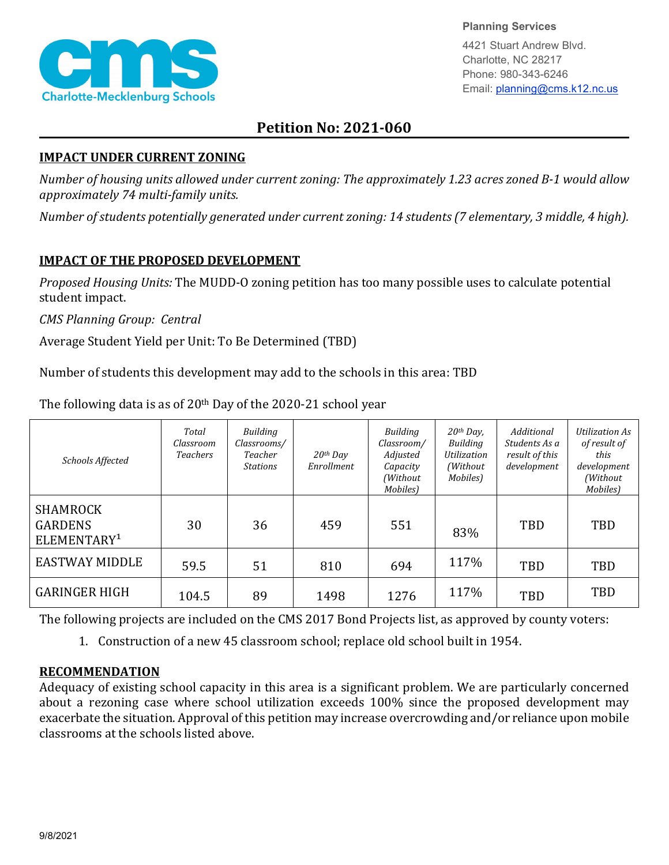

**Planning Services**

4421 Stuart Andrew Blvd. Charlotte, NC 28217 Phone: 980-343-6246 Email: planning@cms.k12.nc.us

## **Petition No: 2021-060**

## **IMPACT UNDER CURRENT ZONING**

*Number of housing units allowed under current zoning: The approximately 1.23 acres zoned B-1 would allow approximately 74 multi-family units.*

*Number of students potentially generated under current zoning: 14 students (7 elementary, 3 middle, 4 high).*

## **IMPACT OF THE PROPOSED DEVELOPMENT**

*Proposed Housing Units:* The MUDD-O zoning petition has too many possible uses to calculate potential student impact.

*CMS Planning Group: Central*

Average Student Yield per Unit: To Be Determined (TBD)

Number of students this development may add to the schools in this area: TBD

| Schools Affected                                             | Total<br>Classroom<br><b>Teachers</b> | Building<br>Classrooms/<br>Teacher<br><b>Stations</b> | $20$ <sup>th</sup> Day<br>Enrollment | Building<br>Classroom/<br>Adjusted<br>Capacity<br>(Without)<br>Mobiles) | $20$ <sup>th</sup> Day,<br><b>Building</b><br>Utilization<br>(Without)<br>Mobiles) | Additional<br>Students As a<br>result of this<br>development | Utilization As<br>of result of<br>this<br>development<br>(Without<br>Mobiles) |
|--------------------------------------------------------------|---------------------------------------|-------------------------------------------------------|--------------------------------------|-------------------------------------------------------------------------|------------------------------------------------------------------------------------|--------------------------------------------------------------|-------------------------------------------------------------------------------|
| <b>SHAMROCK</b><br><b>GARDENS</b><br>ELEMENTARY <sup>1</sup> | 30                                    | 36                                                    | 459                                  | 551                                                                     | 83%                                                                                | TBD                                                          | <b>TBD</b>                                                                    |
| <b>EASTWAY MIDDLE</b>                                        | 59.5                                  | 51                                                    | 810                                  | 694                                                                     | 117%                                                                               | TBD                                                          | TBD                                                                           |
| <b>GARINGER HIGH</b>                                         | 104.5                                 | 89                                                    | 1498                                 | 1276                                                                    | 117%                                                                               | <b>TBD</b>                                                   | <b>TBD</b>                                                                    |

The following data is as of 20th Day of the 2020-21 school year

The following projects are included on the CMS 2017 Bond Projects list, as approved by county voters:

1. Construction of a new 45 classroom school; replace old school built in 1954.

## **RECOMMENDATION**

Adequacy of existing school capacity in this area is a significant problem. We are particularly concerned about a rezoning case where school utilization exceeds 100% since the proposed development may exacerbate the situation. Approval of this petition may increase overcrowding and/or reliance upon mobile classrooms at the schools listed above.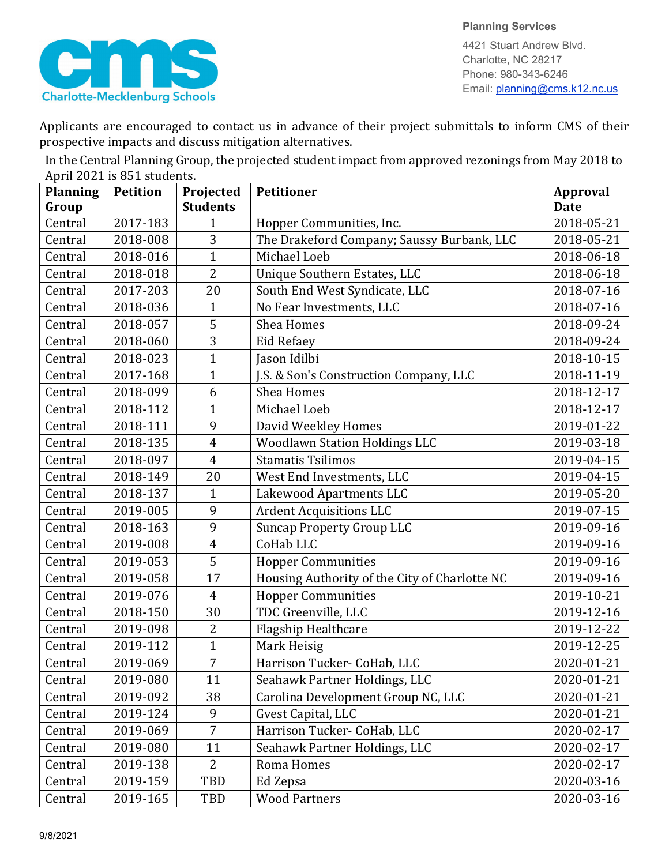



4421 Stuart Andrew Blvd. Charlotte, NC 28217 Phone: 980-343-6246 Email: planning@cms.k12.nc.us

Applicants are encouraged to contact us in advance of their project submittals to inform CMS of their prospective impacts and discuss mitigation alternatives.

In the Central Planning Group, the projected student impact from approved rezonings from May 2018 to April 2021 is 851 students.

| <b>Planning</b> | <b>Petition</b> | Projected       | <b>Petitioner</b>                             | <b>Approval</b> |
|-----------------|-----------------|-----------------|-----------------------------------------------|-----------------|
| Group           |                 | <b>Students</b> |                                               | <b>Date</b>     |
| Central         | 2017-183        | 1               | Hopper Communities, Inc.                      | 2018-05-21      |
| Central         | 2018-008        | 3               | The Drakeford Company; Saussy Burbank, LLC    | 2018-05-21      |
| Central         | 2018-016        | $\mathbf{1}$    | Michael Loeb                                  | 2018-06-18      |
| Central         | 2018-018        | $\overline{2}$  | Unique Southern Estates, LLC                  | 2018-06-18      |
| Central         | 2017-203        | 20              | South End West Syndicate, LLC                 | 2018-07-16      |
| Central         | 2018-036        | 1               | No Fear Investments, LLC                      | 2018-07-16      |
| Central         | 2018-057        | 5               | <b>Shea Homes</b>                             | 2018-09-24      |
| Central         | 2018-060        | 3               | Eid Refaey                                    | 2018-09-24      |
| Central         | 2018-023        | $\mathbf{1}$    | Jason Idilbi                                  | 2018-10-15      |
| Central         | 2017-168        | $\mathbf{1}$    | J.S. & Son's Construction Company, LLC        | 2018-11-19      |
| Central         | 2018-099        | 6               | <b>Shea Homes</b>                             | 2018-12-17      |
| Central         | 2018-112        | $\mathbf{1}$    | Michael Loeb                                  | 2018-12-17      |
| Central         | 2018-111        | 9               | David Weekley Homes                           | 2019-01-22      |
| Central         | 2018-135        | $\overline{4}$  | <b>Woodlawn Station Holdings LLC</b>          | 2019-03-18      |
| Central         | 2018-097        | $\overline{4}$  | <b>Stamatis Tsilimos</b>                      | 2019-04-15      |
| Central         | 2018-149        | 20              | West End Investments, LLC                     | 2019-04-15      |
| Central         | 2018-137        | $\mathbf 1$     | Lakewood Apartments LLC                       | 2019-05-20      |
| Central         | 2019-005        | 9               | <b>Ardent Acquisitions LLC</b>                | 2019-07-15      |
| Central         | 2018-163        | 9               | <b>Suncap Property Group LLC</b>              | 2019-09-16      |
| Central         | 2019-008        | $\overline{4}$  | CoHab LLC                                     | 2019-09-16      |
| Central         | 2019-053        | 5               | <b>Hopper Communities</b>                     | 2019-09-16      |
| Central         | 2019-058        | 17              | Housing Authority of the City of Charlotte NC | 2019-09-16      |
| Central         | 2019-076        | $\overline{4}$  | <b>Hopper Communities</b>                     | 2019-10-21      |
| Central         | 2018-150        | 30              | TDC Greenville, LLC                           | 2019-12-16      |
| Central         | 2019-098        | $\overline{2}$  | Flagship Healthcare                           | 2019-12-22      |
| Central         | 2019-112        | $\mathbf{1}$    | Mark Heisig                                   | 2019-12-25      |
| Central         | 2019-069        | $\overline{7}$  | Harrison Tucker- CoHab, LLC                   | 2020-01-21      |
| Central         | 2019-080        | 11              | Seahawk Partner Holdings, LLC                 | 2020-01-21      |
| Central         | 2019-092        | 38              | Carolina Development Group NC, LLC            | 2020-01-21      |
| Central         | 2019-124        | 9               | Gvest Capital, LLC                            | 2020-01-21      |
| Central         | 2019-069        | $\overline{7}$  | Harrison Tucker- CoHab, LLC                   | 2020-02-17      |
| Central         | 2019-080        | 11              | Seahawk Partner Holdings, LLC                 | 2020-02-17      |
| Central         | 2019-138        | $\overline{2}$  | Roma Homes                                    | 2020-02-17      |
| Central         | 2019-159        | TBD             | Ed Zepsa                                      | 2020-03-16      |
| Central         | 2019-165        | TBD             | <b>Wood Partners</b>                          | 2020-03-16      |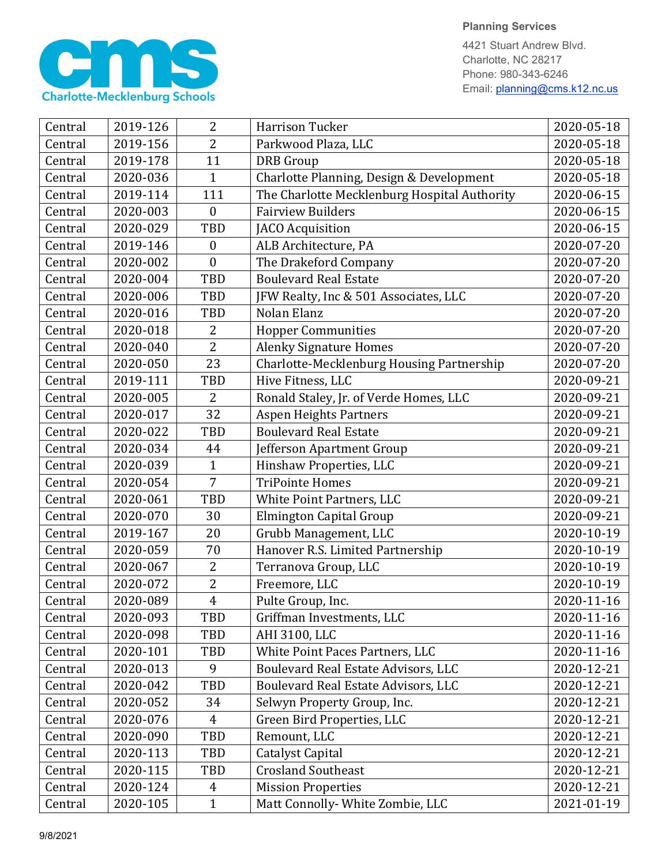

4421 Stuart Andrew Blvd. Charlotte, NC 28217 Phone: 980-343-6246 Email: planning@cms.k12.nc.us

| Central | 2019-126 | $\overline{2}$   | <b>Harrison Tucker</b>                       | 2020-05-18 |
|---------|----------|------------------|----------------------------------------------|------------|
| Central | 2019-156 | $\overline{2}$   | Parkwood Plaza, LLC                          | 2020-05-18 |
| Central | 2019-178 | 11               | <b>DRB</b> Group                             | 2020-05-18 |
| Central | 2020-036 | $\mathbf{1}$     | Charlotte Planning, Design & Development     | 2020-05-18 |
| Central | 2019-114 | 111              | The Charlotte Mecklenburg Hospital Authority | 2020-06-15 |
| Central | 2020-003 | $\boldsymbol{0}$ | <b>Fairview Builders</b>                     | 2020-06-15 |
| Central | 2020-029 | TBD              | JACO Acquisition                             | 2020-06-15 |
| Central | 2019-146 | $\boldsymbol{0}$ | ALB Architecture, PA                         | 2020-07-20 |
| Central | 2020-002 | $\mathbf{0}$     | The Drakeford Company                        | 2020-07-20 |
| Central | 2020-004 | TBD              | <b>Boulevard Real Estate</b>                 | 2020-07-20 |
| Central | 2020-006 | <b>TBD</b>       | JFW Realty, Inc & 501 Associates, LLC        | 2020-07-20 |
| Central | 2020-016 | TBD              | Nolan Elanz                                  | 2020-07-20 |
| Central | 2020-018 | 2                | <b>Hopper Communities</b>                    | 2020-07-20 |
| Central | 2020-040 | $\overline{2}$   | <b>Alenky Signature Homes</b>                | 2020-07-20 |
| Central | 2020-050 | 23               | Charlotte-Mecklenburg Housing Partnership    | 2020-07-20 |
| Central | 2019-111 | TBD              | Hive Fitness, LLC                            | 2020-09-21 |
| Central | 2020-005 | $\overline{2}$   | Ronald Staley, Jr. of Verde Homes, LLC       | 2020-09-21 |
| Central | 2020-017 | 32               | <b>Aspen Heights Partners</b>                | 2020-09-21 |
| Central | 2020-022 | TBD              | <b>Boulevard Real Estate</b>                 | 2020-09-21 |
| Central | 2020-034 | 44               | Jefferson Apartment Group                    | 2020-09-21 |
| Central | 2020-039 | $\mathbf{1}$     | Hinshaw Properties, LLC                      | 2020-09-21 |
| Central | 2020-054 | $\overline{7}$   | <b>TriPointe Homes</b>                       | 2020-09-21 |
| Central | 2020-061 | TBD              | White Point Partners, LLC                    | 2020-09-21 |
| Central | 2020-070 | 30               | Elmington Capital Group                      | 2020-09-21 |
| Central | 2019-167 | 20               | Grubb Management, LLC                        | 2020-10-19 |
| Central | 2020-059 | 70               | Hanover R.S. Limited Partnership             | 2020-10-19 |
| Central | 2020-067 | 2                | Terranova Group, LLC                         | 2020-10-19 |
| Central | 2020-072 | $\overline{2}$   | Freemore, LLC                                | 2020-10-19 |
| Central | 2020-089 | $\overline{4}$   | Pulte Group, Inc.                            | 2020-11-16 |
| Central | 2020-093 | TBD              | Griffman Investments, LLC                    | 2020-11-16 |
| Central | 2020-098 | TBD              | AHI 3100, LLC                                | 2020-11-16 |
| Central | 2020-101 | TBD              | White Point Paces Partners, LLC              | 2020-11-16 |
| Central | 2020-013 | 9                | Boulevard Real Estate Advisors, LLC          | 2020-12-21 |
| Central | 2020-042 | TBD              | Boulevard Real Estate Advisors, LLC          | 2020-12-21 |
| Central | 2020-052 | 34               | Selwyn Property Group, Inc.                  | 2020-12-21 |
| Central | 2020-076 | $\overline{4}$   | Green Bird Properties, LLC                   | 2020-12-21 |
| Central | 2020-090 | TBD              | Remount, LLC                                 | 2020-12-21 |
| Central | 2020-113 | TBD              | Catalyst Capital                             | 2020-12-21 |
| Central | 2020-115 | TBD              | <b>Crosland Southeast</b>                    | 2020-12-21 |
| Central | 2020-124 | 4                | <b>Mission Properties</b>                    | 2020-12-21 |
| Central | 2020-105 | $\mathbf{1}$     | Matt Connolly- White Zombie, LLC             | 2021-01-19 |